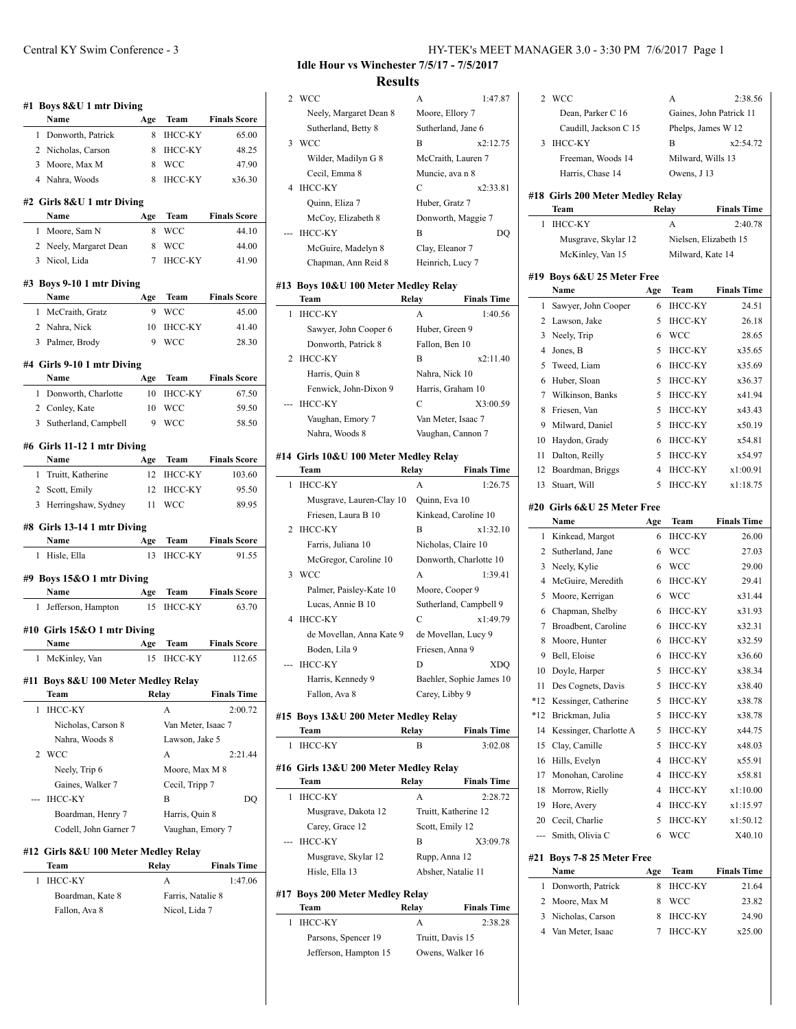| #1 Boys 8&U 1 mtr Diving<br>Name                          | Age | Team               | <b>Finals Score</b>          |
|-----------------------------------------------------------|-----|--------------------|------------------------------|
| Donworth, Patrick<br>1                                    | 8   | ІНСС-КҮ            | 65.00                        |
| 2 Nicholas, Carson                                        | 8   | IHCC-KY            | 48.25                        |
| 3 Moore, Max M                                            | 8   | <b>WCC</b>         | 47.90                        |
| 4 Nahra, Woods                                            | 8   | IHCC-KY            | x36.30                       |
| #2 Girls 8&U 1 mtr Diving<br>Name                         | Age | Team               | <b>Finals Score</b>          |
| 1 Moore, Sam N                                            | 8   | WCC                | 44.10                        |
| 2 Neely, Margaret Dean                                    | 8   | WCC                | 44.00                        |
| 3 Nicol, Lida                                             | 7   | <b>IHCC-KY</b>     | 41.90                        |
| #3 Boys 9-10 1 mtr Diving                                 |     |                    |                              |
| Name                                                      | Age | Team               | <b>Finals Score</b>          |
| 1 McCraith, Gratz                                         | 9   | WCC                | 45.00                        |
| 2 Nahra, Nick                                             | 10  | <b>IHCC-KY</b>     | 41.40                        |
| 3 Palmer, Brody                                           | 9   | <b>WCC</b>         | 28.30                        |
| #4 Girls 9-10 1 mtr Diving                                |     |                    |                              |
| Name                                                      | Age | <b>Team</b>        | <b>Finals Score</b>          |
| 1 Donworth, Charlotte                                     | 10  | <b>IHCC-KY</b>     | 67.50                        |
| 2 Conley, Kate                                            | 10  | <b>WCC</b>         | 59.50                        |
| Sutherland, Campbell<br>3                                 | 9   | WCC                | 58.50                        |
| #6 Girls 11-12 1 mtr Diving<br>Name                       | Age |                    | <b>Team</b> Finals Score     |
| Truitt, Katherine<br>1                                    | 12  | <b>IHCC-KY</b>     | 103.60                       |
| 2 Scott, Emily                                            | 12  | <b>IHCC-KY</b>     | 95.50                        |
| 3 Herringshaw, Sydney                                     | 11  | WCC                | 89.95                        |
| #8 Girls 13-14 1 mtr Diving                               |     |                    |                              |
| Name                                                      | Age | Team               | <b>Finals Score</b>          |
| Hisle, Ella<br>1                                          | 13  | ІНСС-КҮ            | 91.55                        |
| #9 Boys 15&O 1 mtr Diving                                 |     |                    |                              |
| Name                                                      | Age | Team               | <b>Finals Score</b>          |
| Jefferson, Hampton<br>1                                   | 15  | <b>IHCC-KY</b>     | 63.70                        |
| #10 Girls 15&O 1 mtr Diving                               |     |                    |                              |
| Name                                                      | Age | Team               | <b>Finals Score</b>          |
| 1 McKinley, Van                                           | 15  | ІНСС-КҮ            | 112.65                       |
| #11 Boys 8&U 100 Meter Medley Relay                       |     |                    |                              |
| Team                                                      |     | Relay              | <b>Finals Time</b>           |
|                                                           |     | A                  | 2:00.72                      |
| <b>IHCC-KY</b><br>1                                       |     |                    |                              |
| Nicholas, Carson 8                                        |     | Van Meter, Isaac 7 |                              |
| Nahra, Woods 8                                            |     | Lawson, Jake 5     |                              |
| <b>WCC</b><br>2                                           |     | A                  |                              |
| Neely, Trip 6                                             |     | Moore, Max M 8     |                              |
| Gaines, Walker 7                                          |     | Cecil, Tripp 7     |                              |
| <b>IHCC-KY</b><br>---                                     |     | В                  |                              |
| Boardman, Henry 7                                         |     | Harris, Quin 8     |                              |
| Codell, John Garner 7                                     |     | Vaughan, Emory 7   |                              |
|                                                           |     |                    | 2:21.44<br>DQ                |
| #12 Girls 8&U 100 Meter Medley Relay<br>Team<br>1 IHCC-KV |     | Relay              | <b>Finals Time</b><br>1.4706 |

|  | Team             | Relav             | <b>Finals Time</b> |   |
|--|------------------|-------------------|--------------------|---|
|  | 1 IHCC-KY        |                   | 1:47.06            |   |
|  | Boardman, Kate 8 | Farris, Natalie 8 |                    | ŧ |

Fallon, Ava 8 Nicol, Lida 7

## **Idle Hour vs Winchester 7/5/17 - 7/5/2017 Results**

|   | 2 WCC                  | A                  | 1:47.87  |
|---|------------------------|--------------------|----------|
|   | Neely, Margaret Dean 8 | Moore, Ellory 7    |          |
|   | Sutherland, Betty 8    | Sutherland, Jane 6 |          |
| 3 | <b>WCC</b>             | B                  | x2:12.75 |
|   | Wilder, Madilyn G 8    | McCraith, Lauren 7 |          |
|   | Cecil, Emma 8          | Muncie, ava n 8    |          |
| 4 | <b>IHCC-KY</b>         | C                  | x2:33.81 |
|   | Quinn, Eliza 7         | Huber, Gratz 7     |          |
|   | McCoy, Elizabeth 8     | Donworth, Maggie 7 |          |
|   | <b>IHCC-KY</b>         | B                  |          |
|   | McGuire, Madelyn 8     | Clay, Eleanor 7    |          |
|   | Chapman, Ann Reid 8    | Heinrich, Lucy 7   |          |
|   |                        |                    |          |

### **#13 Boys 10&U 100 Meter Medley Relay**

 $\overline{\phantom{a}}$ 

| Team                  | Relay              | <b>Finals Time</b> |
|-----------------------|--------------------|--------------------|
| <b>IHCC-KY</b>        | A                  | 1:40.56            |
| Sawyer, John Cooper 6 | Huber, Green 9     |                    |
| Donworth, Patrick 8   | Fallon, Ben 10     |                    |
| 2 IHCC-KY             | в                  | x2:11.40           |
| Harris, Quin 8        | Nahra, Nick 10     |                    |
| Fenwick, John-Dixon 9 | Harris, Graham 10  |                    |
| <b>IHCC-KY</b>        | C                  | X3:00.59           |
| Vaughan, Emory 7      | Van Meter, Isaac 7 |                    |
| Nahra, Woods 8        | Vaughan, Cannon 7  |                    |

#### **#14 Girls 10&U 100 Meter Medley Relay**

|   | Team                     | Relay               | <b>Finals Time</b>       |
|---|--------------------------|---------------------|--------------------------|
| 1 | <b>IHCC-KY</b>           | A                   | 1:26.75                  |
|   | Musgrave, Lauren-Clay 10 | Quinn, Eva 10       |                          |
|   | Friesen, Laura B 10      |                     | Kinkead, Caroline 10     |
|   | 2 IHCC-KY                | B                   | x1:32.10                 |
|   | Farris, Juliana 10       | Nicholas, Claire 10 |                          |
|   | McGregor, Caroline 10    |                     | Donworth, Charlotte 10   |
| 3 | <b>WCC</b>               | A                   | 1:39.41                  |
|   | Palmer, Paisley-Kate 10  | Moore, Cooper 9     |                          |
|   | Lucas, Annie B 10        |                     | Sutherland, Campbell 9   |
| 4 | <b>IHCC-KY</b>           | C                   | x1:49.79                 |
|   | de Movellan, Anna Kate 9 |                     | de Movellan, Lucy 9      |
|   | Boden, Lila 9            | Friesen, Anna 9     |                          |
|   | <b>IHCC-KY</b>           | D                   | XDO                      |
|   | Harris, Kennedy 9        |                     | Baehler, Sophie James 10 |
|   | Fallon, Ava 8            | Carey, Libby 9      |                          |

#### **#15 Boys 13&U 200 Meter Medley Relay**

| Team      | Relay | <b>Finals Time</b> |
|-----------|-------|--------------------|
| 1 IHCC-KY |       | 3:02.08            |

## **#16 Girls 13&U 200 Meter Medley Relay Team Relay Finals Time** 1 IHCC-KY A 2:28.72 Musgrave, Dakota 12 Truitt, Katherine 12 Carey, Grace 12 Scott, Emily 12 --- IHCC-KY B X3:09.78 Musgrave, Skylar 12 Rupp, Anna 12 Hisle, Ella 13 Absher, Natalie 11

# **#17 Boys 200 Meter Medley Relay**

 $\overline{a}$ 

| Team                  | Relay            | <b>Finals Time</b> |
|-----------------------|------------------|--------------------|
| <b>IHCC-KY</b>        | А                | 2:38.28            |
| Parsons, Spencer 19   | Truitt, Davis 15 |                    |
| Jefferson, Hampton 15 |                  | Owens, Walker 16   |

| 2     | WCC                              |                | А                     | 2:38.56                       |
|-------|----------------------------------|----------------|-----------------------|-------------------------------|
|       | Dean, Parker C 16                |                |                       | Gaines, John Patrick 11       |
|       | Caudill, Jackson C 15            |                | Phelps, James W 12    |                               |
| 3     | <b>IHCC-KY</b>                   |                | B                     | x2:54.72                      |
|       | Freeman, Woods 14                |                | Milward, Wills 13     |                               |
|       | Harris, Chase 14                 |                | Owens, J 13           |                               |
|       |                                  |                |                       |                               |
|       | #18 Girls 200 Meter Medley Relay |                |                       |                               |
|       | Team                             |                | Relay                 | <b>Finals Time</b><br>2:40.78 |
| 1     | <b>IHCC-KY</b>                   |                | А                     |                               |
|       | Musgrave, Skylar 12              |                | Nielsen, Elizabeth 15 |                               |
|       | McKinley, Van 15                 |                | Milward, Kate 14      |                               |
|       | #19 Boys 6&U 25 Meter Free       |                |                       |                               |
|       | Name                             | Age            | Team                  | <b>Finals Time</b>            |
| 1     | Sawyer, John Cooper              | 6              | <b>IHCC-KY</b>        | 24.51                         |
| 2     | Lawson, Jake                     | 5              | IHCC-KY               | 26.18                         |
| 3     | Neely, Trip                      | 6              | <b>WCC</b>            | 28.65                         |
| 4     | Jones, B                         | 5.             | <b>IHCC-KY</b>        | x35.65                        |
| 5     | Tweed, Liam                      | 6              | <b>IHCC-KY</b>        | x35.69                        |
| 6     | Huber, Sloan                     | 5              | <b>IHCC-KY</b>        | x36.37                        |
| 7     | Wilkinson, Banks                 | 5              | <b>IHCC-KY</b>        | x41.94                        |
| 8     | Friesen. Van                     | 5              | <b>IHCC-KY</b>        | x43.43                        |
| 9     | Milward, Daniel                  | 5              | <b>IHCC-KY</b>        | x50.19                        |
| 10    | Haydon, Grady                    | 6              | <b>IHCC-KY</b>        | x54.81                        |
| 11    | Dalton, Reilly                   | 5              | <b>IHCC-KY</b>        | x54.97                        |
| 12    | Boardman, Briggs                 | 4              | <b>IHCC-KY</b>        | x1:00.91                      |
| 13    | Stuart, Will                     | 5              | <b>IHCC-KY</b>        | x1:18.75                      |
|       |                                  |                |                       |                               |
|       | #20 Girls 6&U 25 Meter Free      |                |                       |                               |
|       | Name                             | Age            | Team                  | <b>Finals Time</b>            |
| 1     | Kinkead, Margot                  | 6              | <b>IHCC-KY</b>        | 26.00                         |
| 2     | Sutherland, Jane                 | 6              | <b>WCC</b>            | 27.03                         |
| 3     | Neely, Kylie                     | 6              | <b>WCC</b>            | 29.00                         |
| 4     | McGuire, Meredith                | 6              | <b>IHCC-KY</b>        | 29.41                         |
| 5     | Moore, Kerrigan                  | 6              | <b>WCC</b>            | x31.44                        |
| 6     | Chapman, Shelby                  | 6              | <b>IHCC-KY</b>        | x31.93                        |
| 7     | Broadbent, Caroline              | 6              | <b>IHCC-KY</b>        | x32.31                        |
| 8     | Moore, Hunter                    | 6              | <b>IHCC-KY</b>        | x32.59                        |
| 9     | Bell, Eloise                     | 6              | <b>IHCC-KY</b>        | x36.60                        |
| 10    | Doyle, Harper                    | 5              | <b>IHCC-KY</b>        | x38.34                        |
| 11    | Des Cognets, Davis               | 5              | IHCC-KY               | x38.40                        |
| $*12$ | Kessinger, Catherine             | 5              | <b>IHCC-KY</b>        | x38.78                        |
| $*12$ | Brickman, Julia                  | 5              | <b>IHCC-KY</b>        | x38.78                        |
| 14    | Kessinger, Charlotte A           | 5              | <b>IHCC-KY</b>        | x44.75                        |
| 15    | Clay, Camille                    | 5              | <b>IHCC-KY</b>        | x48.03                        |
| 16    | Hills, Evelyn                    | 4              | <b>IHCC-KY</b>        | x55.91                        |
| 17    | Monohan, Caroline                | $\overline{4}$ | <b>IHCC-KY</b>        | x58.81                        |
| 18    | Morrow, Rielly                   | 4              | <b>IHCC-KY</b>        | x1:10.00                      |
| 19    | Hore, Avery                      | 4              | IHCC-KY               | x1:15.97                      |
| 20    | Cecil, Charlie                   | 5              | IHCC-KY               | x1:50.12                      |
| ---   | Smith, Olivia C                  | 6              | <b>WCC</b>            | X40.10                        |
|       | #21 Boys 7-8 25 Meter Free       |                |                       |                               |
|       | Name                             | Age            | Team                  | <b>Finals Time</b>            |
| 1     | Donworth, Patrick                | 8              | <b>IHCC-KY</b>        | 21.64                         |
| 2     | Moore, Max M                     | 8              | <b>WCC</b>            | 23.82                         |
| 3     | Nicholas, Carson                 | 8              | <b>IHCC-KY</b>        | 24.90                         |
| 4     | Van Meter, Isaac                 | 7              | <b>IHCC-KY</b>        | x25.00                        |
|       |                                  |                |                       |                               |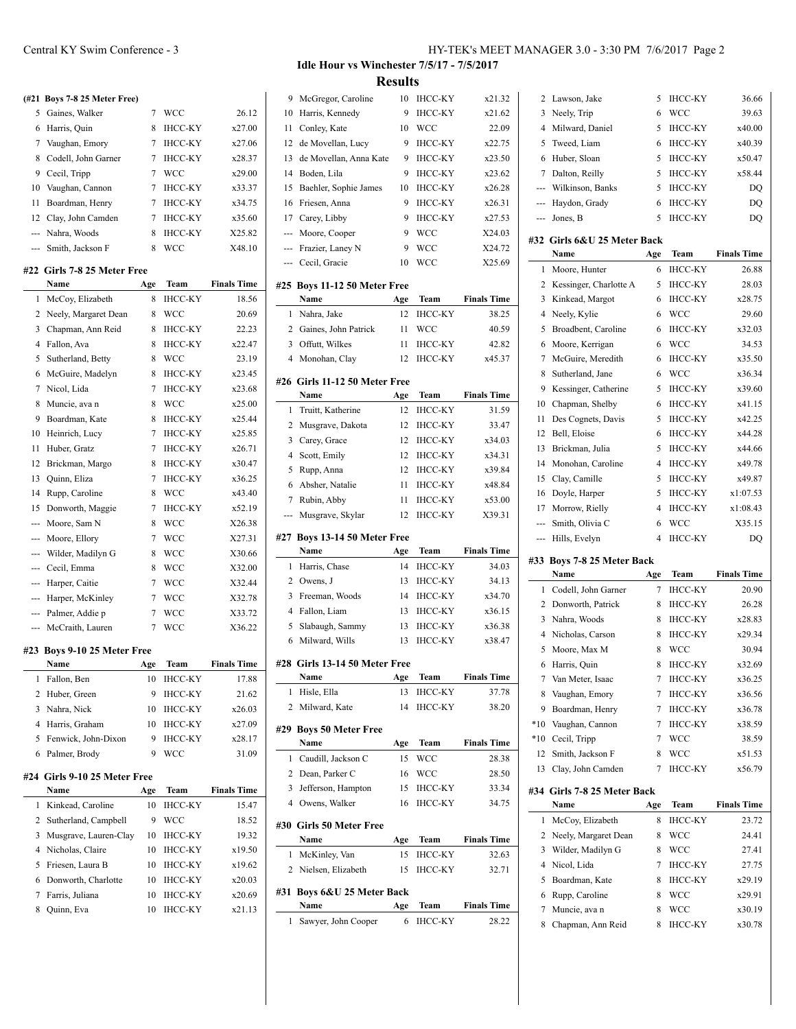# **(#21 Boys 7-8 25 Meter Free)** 5 Gaines, Walker 7 WCC 26.12 Harris, Quin 8 IHCC-KY x27.00 Vaughan, Emory 7 IHCC-KY x27.06 8 Codell, John Garner 7 IHCC-KY x28.37

|    | 9 Cecil, Tripp       | <b>WCC</b>     | x29.00 |
|----|----------------------|----------------|--------|
| 10 | Vaughan, Cannon      | <b>IHCC-KY</b> | x33.37 |
|    | 11 Boardman, Henry   | <b>IHCC-KY</b> | x34.75 |
|    | 12 Clay, John Camden | <b>IHCC-KY</b> | x35.60 |
|    | --- Nahra, Woods     | IHCC-KY        | X25.82 |
|    | --- Smith, Jackson F | <b>WCC</b>     | X48.10 |

#### **#22 Girls 7-8 25 Meter Free**

 $\overline{a}$ 

|     | Name                 | Age | Team           | <b>Finals Time</b> |
|-----|----------------------|-----|----------------|--------------------|
| 1   | McCoy, Elizabeth     | 8   | <b>IHCC-KY</b> | 18.56              |
| 2   | Neely, Margaret Dean | 8   | <b>WCC</b>     | 20.69              |
| 3   | Chapman, Ann Reid    | 8   | IHCC-KY        | 22.23              |
| 4   | Fallon, Ava          | 8   | <b>IHCC-KY</b> | x22.47             |
| 5   | Sutherland, Betty    | 8   | <b>WCC</b>     | 23.19              |
| 6   | McGuire, Madelyn     | 8   | <b>IHCC-KY</b> | x23.45             |
| 7   | Nicol, Lida          | 7   | <b>IHCC-KY</b> | x23.68             |
| 8   | Muncie, ava n        | 8   | <b>WCC</b>     | x25.00             |
| 9   | Boardman, Kate       | 8   | <b>IHCC-KY</b> | x25.44             |
| 10  | Heinrich, Lucy       | 7   | <b>IHCC-KY</b> | x25.85             |
| 11  | Huber, Gratz         | 7   | <b>IHCC-KY</b> | x26.71             |
| 12  | Brickman, Margo      | 8   | <b>IHCC-KY</b> | x30.47             |
| 13  | Quinn, Eliza         | 7   | <b>IHCC-KY</b> | x36.25             |
| 14  | Rupp, Caroline       | 8   | <b>WCC</b>     | x43.40             |
| 15  | Donworth, Maggie     | 7   | <b>IHCC-KY</b> | x52.19             |
| --- | Moore, Sam N         | 8   | <b>WCC</b>     | X26.38             |
| --- | Moore, Ellory        | 7   | WCC            | X27.31             |
|     | Wilder, Madilyn G    | 8   | <b>WCC</b>     | X30.66             |
|     | Cecil, Emma          | 8   | <b>WCC</b>     | X32.00             |
|     | Harper, Caitie       | 7   | <b>WCC</b>     | X32.44             |
| --- | Harper, McKinley     | 7   | <b>WCC</b>     | X32.78             |
| --- | Palmer, Addie p      | 7   | <b>WCC</b>     | X33.72             |
| --- | McCraith, Lauren     | 7   | <b>WCC</b>     | X36.22             |
|     |                      |     |                |                    |

#### **#23 Boys 9-10 25 Meter Free**

 $\overline{a}$ 

|   | Name                  | Age | Team           | <b>Finals Time</b> |
|---|-----------------------|-----|----------------|--------------------|
|   | Fallon, Ben           | 10  | <b>IHCC-KY</b> | 17.88              |
|   | 2 Huber, Green        | 9   | <b>IHCC-KY</b> | 21.62              |
| 3 | Nahra, Nick           | 10  | <b>IHCC-KY</b> | x26.03             |
|   | Harris, Graham        | 10  | <b>IHCC-KY</b> | x27.09             |
|   | 5 Fenwick, John-Dixon |     | <b>IHCC-KY</b> | x28.17             |
|   | Palmer, Brody         | 9   | WCC.           | 31.09              |

#### **#24 Girls 9-10 25 Meter Free**

| Name                    | Age | <b>Team</b>    | <b>Finals Time</b> |
|-------------------------|-----|----------------|--------------------|
| 1 Kinkead, Caroline     | 10  | <b>IHCC-KY</b> | 15.47              |
| 2 Sutherland, Campbell  | 9   | <b>WCC</b>     | 18.52              |
| 3 Musgrave, Lauren-Clay | 10  | <b>IHCC-KY</b> | 19.32              |
| 4 Nicholas, Claire      | 10  | <b>IHCC-KY</b> | x19.50             |
| 5 Friesen, Laura B      | 10  | <b>IHCC-KY</b> | x19.62             |
| 6 Donworth, Charlotte   | 10  | <b>IHCC-KY</b> | x20.03             |
| Farris, Juliana         | 10  | <b>IHCC-KY</b> | x20.69             |
| Quinn, Eva              | 10  | <b>IHCC-KY</b> | x21.13             |

# Central KY Swim Conference - 3 HY-TEK's MEET MANAGER 3.0 - 3:30 PM 7/6/2017 Page 2

## **Idle Hour vs Winchester 7/5/17 - 7/5/2017 Results**

| 9              | McGregor, Caroline             | 10        | <b>IHCC-KY</b>         | x21.32                      |
|----------------|--------------------------------|-----------|------------------------|-----------------------------|
| 10             | Harris, Kennedy                | 9         | <b>IHCC-KY</b>         | x21.62                      |
| 11             | Conley, Kate                   | 10        | <b>WCC</b>             | 22.09                       |
| 12             | de Movellan, Lucy              | 9         | ІНСС-КҮ                | x22.75                      |
| 13             | de Movellan, Anna Kate         | 9         | <b>IHCC-KY</b>         | x23.50                      |
| 14             | Boden, Lila                    | 9         | <b>IHCC-KY</b>         | x23.62                      |
| 15             | Baehler, Sophie James          | 10        | <b>IHCC-KY</b>         | x26.28                      |
| 16             | Friesen, Anna                  | 9         | <b>IHCC-KY</b>         | x26.31                      |
| 17             | Carey, Libby                   | 9         | <b>IHCC-KY</b>         | x27.53                      |
| ---            | Moore, Cooper                  | 9         | <b>WCC</b>             | X24.03                      |
|                | --- Frazier, Laney N           | 9         | <b>WCC</b>             | X24.72                      |
| ---            | Cecil, Gracie                  | 10        | <b>WCC</b>             | X25.69                      |
|                | #25 Boys 11-12 50 Meter Free   |           |                        |                             |
|                | Name                           | Age       | Team                   | <b>Finals Time</b>          |
| 1              | Nahra, Jake                    | 12        | ІНСС-КҮ                | 38.25                       |
| 2              | Gaines, John Patrick           | 11        | WCC                    | 40.59                       |
| 3              | Offutt, Wilkes                 | 11        | ІНСС-КҮ                | 42.82                       |
| 4              | Monohan, Clay                  | 12        | <b>IHCC-KY</b>         | x45.37                      |
|                |                                |           |                        |                             |
|                | #26 Girls 11-12 50 Meter Free  |           |                        |                             |
|                | Name                           | Age       | Team                   | <b>Finals Time</b>          |
| 1              | Truitt, Katherine              | 12        | <b>IHCC-KY</b>         | 31.59                       |
| 2              | Musgrave, Dakota               | 12        | ІНСС-КҮ                | 33.47                       |
| 3              | Carey, Grace                   | 12        | <b>IHCC-KY</b>         | x34.03                      |
| 4              | Scott, Emily                   | 12        | <b>IHCC-KY</b>         | x34.31                      |
| 5              | Rupp, Anna                     | 12        | <b>IHCC-KY</b>         | x39.84                      |
| 6              | Absher, Natalie                | 11        | <b>IHCC-KY</b>         | x48.84                      |
| 7              | Rubin, Abby                    | 11        | <b>IHCC-KY</b>         | x53.00                      |
| ---            | Musgrave, Skylar               | 12        | <b>IHCC-KY</b>         | X39.31                      |
|                | #27 Boys 13-14 50 Meter Free   |           |                        |                             |
|                | Name                           | Age       | Team                   | <b>Finals Time</b>          |
| 1              | Harris, Chase                  | 14        | <b>IHCC-KY</b>         | 34.03                       |
| 2              | Owens, J                       | 13        | <b>IHCC-KY</b>         | 34.13                       |
| 3              | Freeman, Woods                 | 14        | <b>IHCC-KY</b>         | x34.70                      |
| $\overline{4}$ | Fallon, Liam                   |           |                        |                             |
| 5              |                                | 13        | <b>IHCC-KY</b>         | x36.15                      |
|                | Slabaugh, Sammy                | 13        | IHCC-KY                | x36.38                      |
| 6              | Milward, Wills                 | 13        | IHCC-KY                | x38.47                      |
|                |                                |           |                        |                             |
|                | #28 Girls 13-14 50 Meter Free  |           |                        |                             |
| 1              | Name<br>Hisle, Ella            | Age<br>13 | Team<br><b>IHCC-KY</b> | <b>Finals Time</b><br>37.78 |
| 2              |                                | 14        |                        |                             |
|                | Milward, Kate                  |           | ІНСС-КҮ                | 38.20                       |
|                | #29 Boys 50 Meter Free         |           |                        |                             |
|                | Name                           | Age       | Team                   | <b>Finals Time</b>          |
| 1              | Caudill, Jackson C             | 15        | WCC                    | 28.38                       |
| 2              | Dean, Parker C                 | 16        | WCC                    | 28.50                       |
| 3              | Jefferson, Hampton             | 15        | IHCC-KY                | 33.34                       |
| 4              | Owens, Walker                  | 16        | <b>IHCC-KY</b>         | 34.75                       |
|                | #30 Girls 50 Meter Free        |           |                        |                             |
|                | Name                           | Age       | Team                   | <b>Finals Time</b>          |
| 1              | McKinley, Van                  | 15        | <b>IHCC-KY</b>         | 32.63                       |
| 2              | Nielsen, Elizabeth             | 15        | ІНСС-КҮ                | 32.71                       |
|                |                                |           |                        |                             |
| #31            | Boys 6&U 25 Meter Back<br>Name | Age       | Team                   | <b>Finals Time</b>          |
| 1              | Sawyer, John Cooper            | 6         | <b>IHCC-KY</b>         | 28.22                       |

| 2      | Lawson, Jake                       | 5                        | <b>IHCC-KY</b>        | 36.66              |
|--------|------------------------------------|--------------------------|-----------------------|--------------------|
| 3      | Neely, Trip                        | 6                        | <b>WCC</b>            | 39.63              |
| 4      | Milward, Daniel                    | 5                        | <b>IHCC-KY</b>        | x40.00             |
| 5      | Tweed, Liam                        | 6                        | <b>IHCC-KY</b>        | x40.39             |
| 6      | Huber, Sloan                       | 5                        | <b>IHCC-KY</b>        | x50.47             |
| 7      | Dalton, Reilly                     | 5                        | <b>IHCC-KY</b>        | x58.44             |
| ---    | Wilkinson, Banks                   | 5                        | <b>IHCC-KY</b>        | DQ                 |
| ---    | Haydon, Grady                      | 6                        | <b>IHCC-KY</b>        | DQ                 |
| ---    | Jones, B                           | 5                        | <b>IHCC-KY</b>        | DQ                 |
|        |                                    |                          |                       |                    |
|        | #32 Girls 6&U 25 Meter Back        |                          |                       |                    |
|        | Name                               | Age                      | Team                  | <b>Finals Time</b> |
| 1      | Moore, Hunter                      | 6                        | <b>IHCC-KY</b>        | 26.88              |
| 2      | Kessinger, Charlotte A             | 5                        | <b>IHCC-KY</b>        | 28.03              |
| 3      | Kinkead, Margot                    | 6                        | <b>IHCC-KY</b>        | x28.75             |
| 4      | Neely, Kylie                       | 6                        | <b>WCC</b>            | 29.60              |
| 5      | Broadbent, Caroline                | 6                        | <b>IHCC-KY</b>        | x32.03             |
| 6      | Moore, Kerrigan                    | 6                        | WCC                   | 34.53              |
| 7      | McGuire, Meredith                  | 6                        | <b>IHCC-KY</b>        | x35.50             |
| 8      | Sutherland, Jane                   | 6                        | WCC                   | x36.34             |
| 9      | Kessinger, Catherine               | 5                        | <b>IHCC-KY</b>        | x39.60             |
| 10     | Chapman, Shelby                    | 6                        | <b>IHCC-KY</b>        | x41.15             |
| 11     | Des Cognets, Davis                 | 5                        | <b>IHCC-KY</b>        | x42.25             |
| 12     | Bell, Eloise                       | 6                        | <b>IHCC-KY</b>        | x44.28             |
| 13     | Brickman, Julia                    | 5                        | <b>IHCC-KY</b>        | x44.66             |
| 14     | Monohan, Caroline                  | $\overline{4}$           | <b>IHCC-KY</b>        | x49.78             |
| 15     | Clay, Camille                      | 5                        | <b>IHCC-KY</b>        | x49.87             |
| 16     | Doyle, Harper                      | 5                        | <b>IHCC-KY</b>        | x1:07.53           |
| 17     | Morrow, Rielly                     | 4                        | <b>IHCC-KY</b>        | x1:08.43           |
|        |                                    |                          |                       |                    |
| ---    | Smith, Olivia C                    | 6                        | WCC                   | X35.15             |
| ---    | Hills, Evelyn                      | $\overline{4}$           | <b>IHCC-KY</b>        | DQ                 |
|        |                                    |                          |                       |                    |
|        | #33 Boys 7-8 25 Meter Back<br>Name | Age                      | Team                  | <b>Finals Time</b> |
| 1      | Codell, John Garner                | 7                        | <b>IHCC-KY</b>        | 20.90              |
| 2      | Donworth, Patrick                  | 8                        | <b>IHCC-KY</b>        | 26.28              |
| 3      | Nahra, Woods                       | 8                        | <b>IHCC-KY</b>        | x28.83             |
| 4      | Nicholas, Carson                   | 8                        | <b>IHCC-KY</b>        | x29.34             |
| 5      | Moore, Max M                       | 8                        | WCC                   | 30.94              |
| 6      | Harris, Quin                       | 8                        | <b>IHCC-KY</b>        | x32.69             |
| 7      |                                    | $\overline{\mathcal{I}}$ | <b>IHCC-KY</b>        | x36.25             |
| 8      | Van Meter, Isaac<br>Vaughan, Emory | 7                        | <b>IHCC-KY</b>        | x36.56             |
| 9      | Boardman, Henry                    | 7                        | <b>IHCC-KY</b>        | x36.78             |
| $*10$  | Vaughan, Cannon                    | 7                        | <b>IHCC-KY</b>        | x38.59             |
| $*10$  | Cecil, Tripp                       | 7                        | <b>WCC</b>            | 38.59              |
| 12     | Smith, Jackson F                   | 8                        | WCC                   | x51.53             |
| 13     |                                    | 7                        | <b>IHCC-KY</b>        | x56.79             |
|        | Clay, John Camden                  |                          |                       |                    |
|        | #34 Girls 7-8 25 Meter Back        |                          |                       |                    |
|        | Name                               | Age                      | Team                  | <b>Finals Time</b> |
| 1      | McCoy, Elizabeth                   | 8                        | <b>IHCC-KY</b>        | 23.72              |
| 2      | Neely, Margaret Dean               | 8                        | WCC                   | 24.41              |
| 3      | Wilder, Madilyn G                  | 8                        | WCC                   | 27.41              |
| 4      | Nicol, Lida                        | 7                        | <b>IHCC-KY</b>        | 27.75              |
| 5      | Boardman, Kate                     | 8                        | <b>IHCC-KY</b>        | x29.19             |
| 6      | Rupp, Caroline                     | 8                        | WCC                   | x29.91             |
| 7<br>8 | Muncie, ava n<br>Chapman, Ann Reid | 8<br>8                   | WCC<br><b>IHCC-KY</b> | x30.19<br>x30.78   |